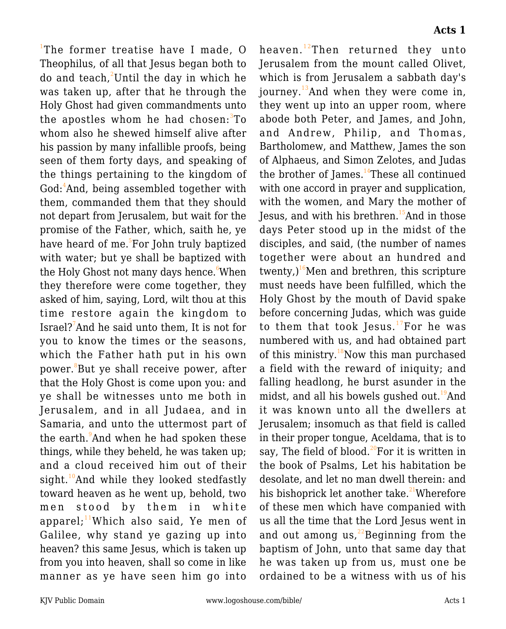<sup>1</sup>The former treatise have I made, O Theophilus, of all that Jesus began both to do and teach, $^{2}$ Until the day in which he was taken up, after that he through the Holy Ghost had given commandments unto the apostles whom he had chosen:<sup>3</sup>To whom also he shewed himself alive after his passion by many infallible proofs, being seen of them forty days, and speaking of the things pertaining to the kingdom of God:<sup>4</sup>And, being assembled together with them, commanded them that they should not depart from Jerusalem, but wait for the promise of the Father, which, saith he, ye have heard of me.<sup>5</sup>For John truly baptized with water; but ye shall be baptized with the Holy Ghost not many days hence. When they therefore were come together, they asked of him, saying, Lord, wilt thou at this time restore again the kingdom to Israel?<sup>7</sup> And he said unto them, It is not for you to know the times or the seasons, which the Father hath put in his own power. $^8$ But ye shall receive power, after that the Holy Ghost is come upon you: and ye shall be witnesses unto me both in Jerusalem, and in all Judaea, and in Samaria, and unto the uttermost part of the earth.<sup>9</sup>And when he had spoken these things, while they beheld, he was taken up; and a cloud received him out of their sight.<sup>10</sup>And while they looked stedfastly toward heaven as he went up, behold, two men stood by them in white apparel; $11$ Which also said, Ye men of Galilee, why stand ye gazing up into heaven? this same Jesus, which is taken up from you into heaven, shall so come in like manner as ye have seen him go into heaven.<sup>12</sup>Then returned they unto Jerusalem from the mount called Olivet, which is from Jerusalem a sabbath day's journey.<sup>13</sup>And when they were come in, they went up into an upper room, where abode both Peter, and James, and John, and Andrew, Philip, and Thomas, Bartholomew, and Matthew, James the son of Alphaeus, and Simon Zelotes, and Judas the brother of James. $14$ These all continued with one accord in prayer and supplication, with the women, and Mary the mother of Jesus, and with his brethren.<sup>15</sup>And in those days Peter stood up in the midst of the disciples, and said, (the number of names together were about an hundred and twenty, $16$ <sup>6</sup>Men and brethren, this scripture must needs have been fulfilled, which the Holy Ghost by the mouth of David spake before concerning Judas, which was guide to them that took Jesus. $17$ For he was numbered with us, and had obtained part of this ministry.<sup>18</sup>Now this man purchased a field with the reward of iniquity; and falling headlong, he burst asunder in the midst, and all his bowels gushed out.<sup>19</sup>And it was known unto all the dwellers at Jerusalem; insomuch as that field is called in their proper tongue, Aceldama, that is to say, The field of blood.<sup>20</sup>For it is written in the book of Psalms, Let his habitation be desolate, and let no man dwell therein: and his bishoprick let another take.<sup>21</sup>Wherefore of these men which have companied with us all the time that the Lord Jesus went in and out among us, $^{22}$ Beginning from the baptism of John, unto that same day that he was taken up from us, must one be ordained to be a witness with us of his